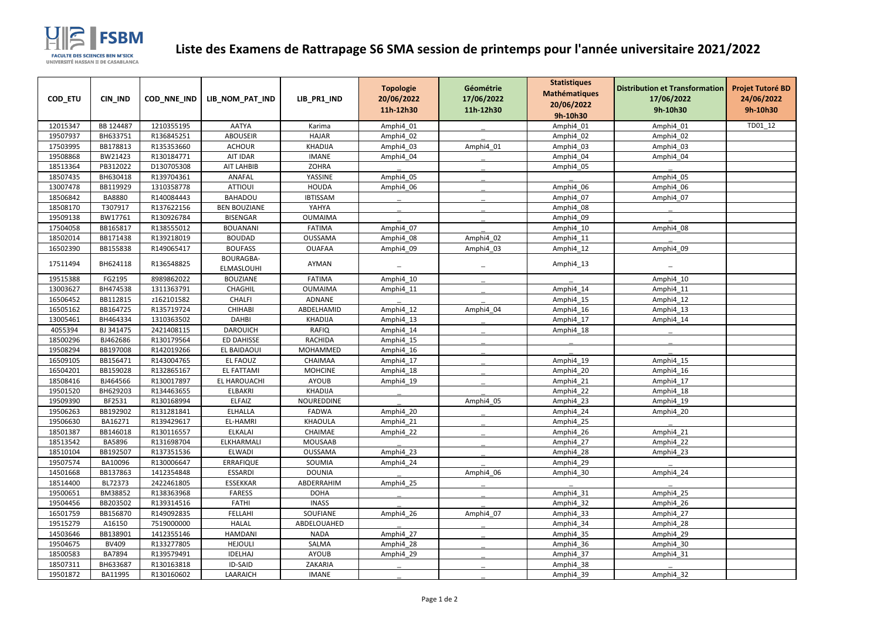| COD_ETU  | CIN_IND       | COD_NNE_IND | LIB_NOM_PAT_IND         | LIB_PR1_IND     | <b>Topologie</b><br>20/06/2022<br>11h-12h30 | Géométrie<br>17/06/2022<br>11h-12h30 | <b>Statistiques</b><br><b>Mathématiques</b><br>20/06/2022<br>9h-10h30 | <b>Distribution et Transformation</b><br>17/06/2022<br>9h-10h30 | <b>Projet Tutoré BD</b><br>24/06/2022<br>9h-10h30 |
|----------|---------------|-------------|-------------------------|-----------------|---------------------------------------------|--------------------------------------|-----------------------------------------------------------------------|-----------------------------------------------------------------|---------------------------------------------------|
| 12015347 | BB 124487     | 1210355195  | <b>AATYA</b>            | Karima          | Amphi4_01                                   |                                      | Amphi4_01                                                             | Amphi4_01                                                       | TD01_12                                           |
| 19507937 | BH633751      | R136845251  | <b>ABOUSEIR</b>         | <b>HAJAR</b>    | Amphi4_02                                   |                                      | Amphi4_02                                                             | Amphi4_02                                                       |                                                   |
| 17503995 | BB178813      | R135353660  | <b>ACHOUR</b>           | <b>KHADIJA</b>  | Amphi4_03                                   | Amphi4_01                            | Amphi4_03                                                             | Amphi4_03                                                       |                                                   |
| 19508868 | BW21423       | R130184771  | AIT IDAR                | <b>IMANE</b>    | Amphi4_04                                   |                                      | Amphi4_04                                                             | Amphi4_04                                                       |                                                   |
| 18513364 | PB312022      | D130705308  | AIT LAHBIB              | <b>ZOHRA</b>    |                                             |                                      | Amphi4_05                                                             |                                                                 |                                                   |
| 18507435 | BH630418      | R139704361  | <b>ANAFAL</b>           | YASSINE         | Amphi4 05                                   |                                      |                                                                       | Amphi4_05                                                       |                                                   |
| 13007478 | BB119929      | 1310358778  | <b>ATTIOUI</b>          | <b>HOUDA</b>    | Amphi4_06                                   |                                      | Amphi4 06                                                             | Amphi4_06                                                       |                                                   |
| 18506842 | <b>BA8880</b> | R140084443  | <b>BAHADOU</b>          | <b>IBTISSAM</b> |                                             |                                      | Amphi4_07                                                             | Amphi4_07                                                       |                                                   |
| 18508170 | T307917       | R137622156  | <b>BEN BOUZIANE</b>     | YAHYA           |                                             |                                      | Amphi4_08                                                             |                                                                 |                                                   |
| 19509138 | BW17761       | R130926784  | <b>BISENGAR</b>         | <b>OUMAIMA</b>  |                                             |                                      | Amphi4_09                                                             |                                                                 |                                                   |
| 17504058 | BB165817      | R138555012  | <b>BOUANANI</b>         | <b>FATIMA</b>   | Amphi4 07                                   |                                      | Amphi4_10                                                             | Amphi4_08                                                       |                                                   |
| 18502014 | BB171438      | R139218019  | <b>BOUDAD</b>           | <b>OUSSAMA</b>  | Amphi4_08                                   | Amphi4_02                            | Amphi4_11                                                             |                                                                 |                                                   |
| 16502390 | BB155838      | R149065417  | <b>BOUFASS</b>          | <b>OUAFAA</b>   | Amphi4_09                                   | Amphi4_03                            | Amphi4_12                                                             | Amphi4_09                                                       |                                                   |
| 17511494 | BH624118      | R136548825  | BOURAGBA-<br>ELMASLOUHI | AYMAN           |                                             |                                      | Amphi4_13                                                             |                                                                 |                                                   |
| 19515388 | FG2195        | 8989862022  | <b>BOUZIANE</b>         | <b>FATIMA</b>   | Amphi4_10                                   |                                      |                                                                       | Amphi4_10                                                       |                                                   |
| 13003627 | BH474538      | 1311363791  | CHAGHIL                 | <b>OUMAIMA</b>  | Amphi4_11                                   |                                      | Amphi4_14                                                             | Amphi4_11                                                       |                                                   |
| 16506452 | BB112815      | z162101582  | <b>CHALFI</b>           | ADNANE          |                                             |                                      | Amphi4_15                                                             | Amphi4_12                                                       |                                                   |
| 16505162 | BB164725      | R135719724  | <b>CHIHABI</b>          | ABDELHAMID      | Amphi4_12                                   | Amphi4_04                            | Amphi4 16                                                             | Amphi4_13                                                       |                                                   |
| 13005461 | BH464334      | 1310363502  | <b>DAHBI</b>            | <b>KHADIJA</b>  | Amphi4_13                                   |                                      | Amphi4_17                                                             | Amphi4_14                                                       |                                                   |
| 4055394  | BJ 341475     | 2421408115  | <b>DAROUICH</b>         | <b>RAFIQ</b>    | Amphi4_14                                   |                                      | Amphi4_18                                                             |                                                                 |                                                   |
| 18500296 | BJ462686      | R130179564  | ED DAHISSE              | <b>RACHIDA</b>  | Amphi4_15                                   |                                      |                                                                       |                                                                 |                                                   |
| 19508294 | BB197008      | R142019266  | EL BAIDAOUI             | MOHAMMED        | Amphi4_16                                   |                                      |                                                                       |                                                                 |                                                   |
| 16509105 | BB156471      | R143004765  | EL FAOUZ                | CHAIMAA         | Amphi4_17                                   |                                      | Amphi4_19                                                             | Amphi4_15                                                       |                                                   |
| 16504201 | BB159028      | R132865167  | <b>EL FATTAMI</b>       | <b>MOHCINE</b>  | Amphi4 18                                   |                                      | Amphi4 20                                                             | Amphi4 16                                                       |                                                   |
| 18508416 | BJ464566      | R130017897  | EL HAROUACHI            | <b>AYOUB</b>    | Amphi4_19                                   |                                      | Amphi4_21                                                             | Amphi4_17                                                       |                                                   |
| 19501520 | BH629203      | R134463655  | ELBAKRI                 | <b>KHADIJA</b>  |                                             |                                      | Amphi4_22                                                             | Amphi4_18                                                       |                                                   |
| 19509390 | BF2531        | R130168994  | <b>ELFAIZ</b>           | NOUREDDINE      |                                             | Amphi4_05                            | Amphi4_23                                                             | Amphi4_19                                                       |                                                   |
| 19506263 | BB192902      | R131281841  | <b>ELHALLA</b>          | <b>FADWA</b>    | Amphi4_20                                   |                                      | Amphi4_24                                                             | Amphi4_20                                                       |                                                   |
| 19506630 | BA16271       | R139429617  | EL-HAMRI                | KHAOULA         | Amphi4_21                                   |                                      | Amphi4 25                                                             |                                                                 |                                                   |
| 18501387 | BB146018      | R130116557  | <b>ELKALAI</b>          | CHAIMAE         | Amphi4_22                                   |                                      | Amphi4_26                                                             | Amphi4_21                                                       |                                                   |
| 18513542 | BA5896        | R131698704  | ELKHARMALI              | MOUSAAB         |                                             |                                      | Amphi4_27                                                             | Amphi4_22                                                       |                                                   |
| 18510104 | BB192507      | R137351536  | <b>ELWADI</b>           | OUSSAMA         | Amphi4_23                                   |                                      | Amphi4 28                                                             | Amphi4_23                                                       |                                                   |
| 19507574 | BA10096       | R130006647  | <b>ERRAFIQUE</b>        | SOUMIA          | Amphi4_24                                   |                                      | Amphi4 29                                                             |                                                                 |                                                   |
| 14501668 | BB137863      | 1412354848  | <b>ESSARDI</b>          | <b>DOUNIA</b>   |                                             | Amphi4 06                            | Amphi4 30                                                             | Amphi4 24                                                       |                                                   |
| 18514400 | BL72373       | 2422461805  | <b>ESSEKKAR</b>         | ABDERRAHIM      | Amphi4_25                                   |                                      |                                                                       |                                                                 |                                                   |
| 19500651 | BM38852       | R138363968  | <b>FARESS</b>           | <b>DOHA</b>     |                                             |                                      | Amphi4 31                                                             | Amphi4_25                                                       |                                                   |
| 19504456 | BB203502      | R139314516  | <b>FATHI</b>            | <b>INASS</b>    |                                             |                                      | Amphi4_32                                                             | Amphi4_26                                                       |                                                   |
| 16501759 | BB156870      | R149092835  | FELLAHI                 | SOUFIANE        | Amphi4_26                                   | Amphi4 07                            | Amphi4_33                                                             | Amphi4_27                                                       |                                                   |
| 19515279 | A16150        | 7519000000  | <b>HALAL</b>            | ABDELOUAHED     |                                             |                                      | Amphi4_34                                                             | Amphi4_28                                                       |                                                   |
| 14503646 | BB138901      | 1412355146  | HAMDANI                 | <b>NADA</b>     | Amphi4 27                                   |                                      | Amphi4_35                                                             | Amphi4_29                                                       |                                                   |
| 19504675 | <b>BV409</b>  | R133277805  | <b>HEJOULI</b>          | SALMA           | Amphi4_28                                   |                                      | Amphi4_36                                                             | Amphi4_30                                                       |                                                   |
| 18500583 | <b>BA7894</b> | R139579491  | <b>IDELHAJ</b>          | AYOUB           | Amphi4_29                                   |                                      | Amphi4 37                                                             | Amphi4_31                                                       |                                                   |
| 18507311 | BH633687      | R130163818  | ID-SAID                 | ZAKARIA         |                                             |                                      | Amphi4_38                                                             |                                                                 |                                                   |
| 19501872 | BA11995       | R130160602  | LAARAICH                | <b>IMANE</b>    |                                             |                                      | Amphi4_39                                                             | Amphi4_32                                                       |                                                   |



## **Liste des Examens de Rattrapage S6 SMA session de printemps pour l'année universitaire 2021/2022**